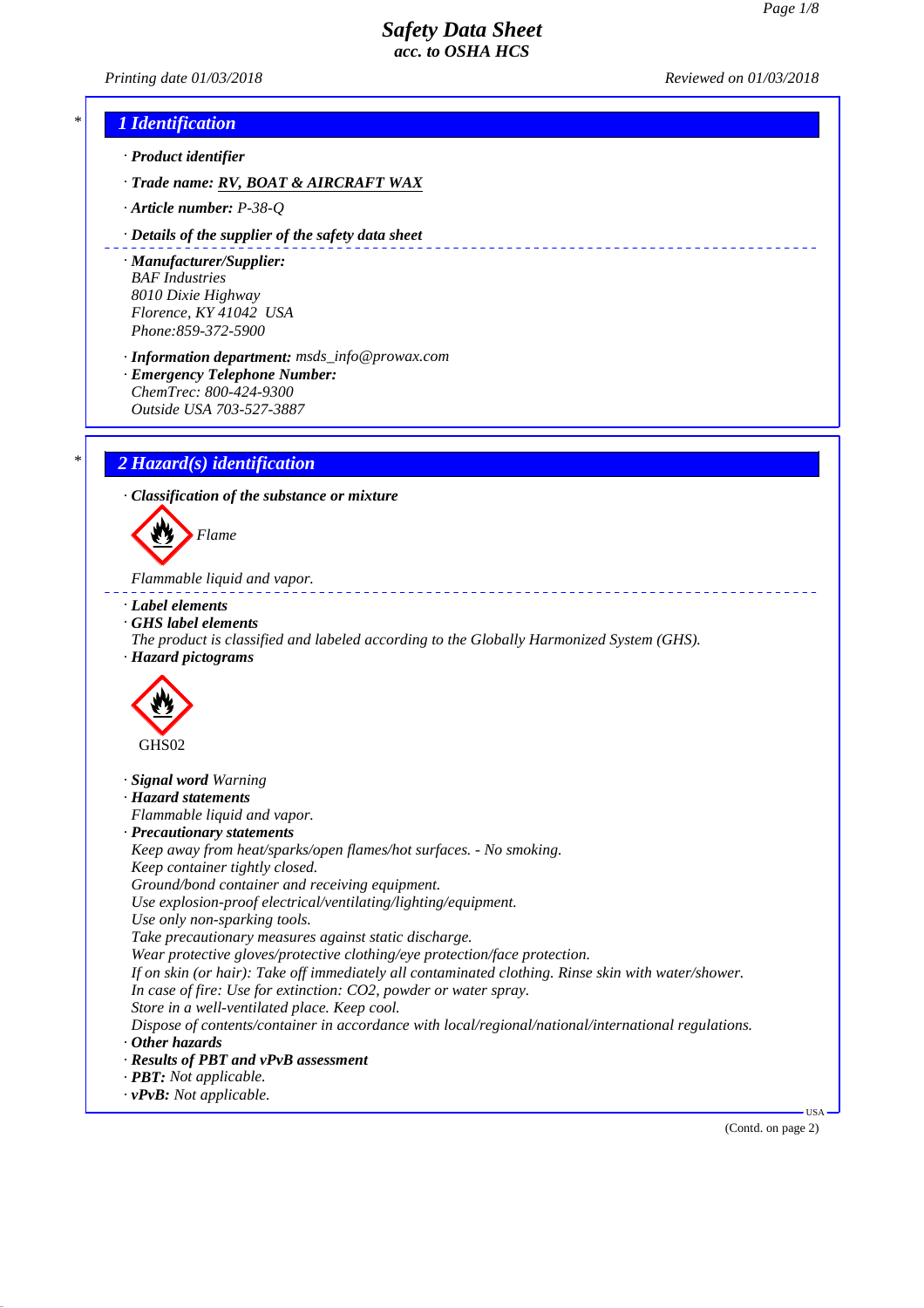*Printing date 01/03/2018 Reviewed on 01/03/2018*

## *\* 1 Identification*

- *· Product identifier*
- *· Trade name: RV, BOAT & AIRCRAFT WAX*
- *· Article number: P-38-Q*
- *· Details of the supplier of the safety data sheet*
- *· Manufacturer/Supplier: BAF Industries 8010 Dixie Highway Florence, KY 41042 USA Phone:859-372-5900*
- *· Information department: msds\_info@prowax.com*
- *· Emergency Telephone Number: ChemTrec: 800-424-9300*
- *Outside USA 703-527-3887*

## *\* 2 Hazard(s) identification*

*· Classification of the substance or mixture*



*Flammable liquid and vapor.* 

- *· Label elements*
- *· GHS label elements*
- *The product is classified and labeled according to the Globally Harmonized System (GHS).*
- *· Hazard pictograms*



*· Signal word Warning · Hazard statements Flammable liquid and vapor. · Precautionary statements Keep away from heat/sparks/open flames/hot surfaces. - No smoking. Keep container tightly closed. Ground/bond container and receiving equipment. Use explosion-proof electrical/ventilating/lighting/equipment. Use only non-sparking tools. Take precautionary measures against static discharge. Wear protective gloves/protective clothing/eye protection/face protection. If on skin (or hair): Take off immediately all contaminated clothing. Rinse skin with water/shower. In case of fire: Use for extinction: CO2, powder or water spray. Store in a well-ventilated place. Keep cool. Dispose of contents/container in accordance with local/regional/national/international regulations. · Other hazards · Results of PBT and vPvB assessment · PBT: Not applicable. · vPvB: Not applicable.*

(Contd. on page 2)

USA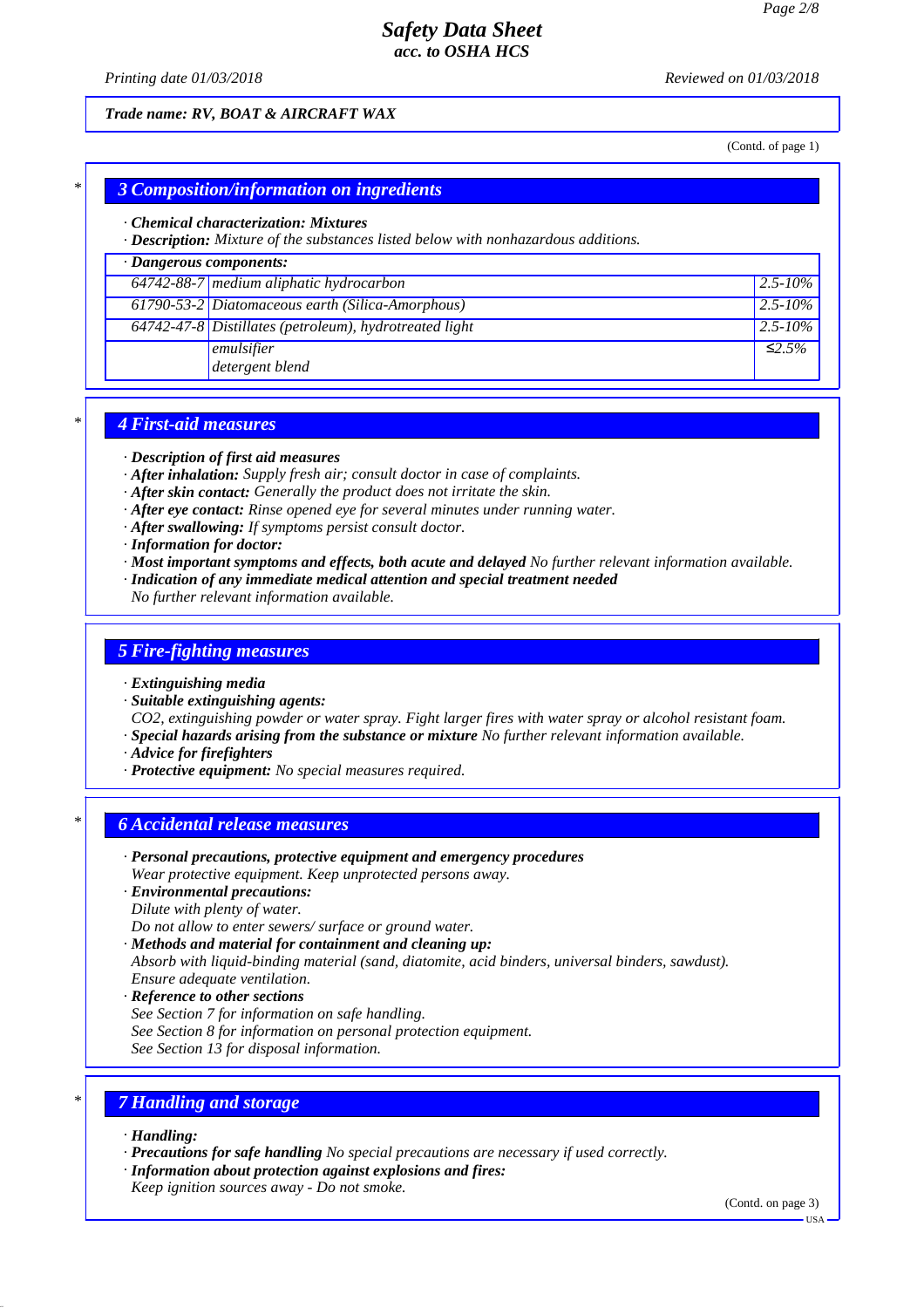*Printing date 01/03/2018 Reviewed on 01/03/2018*

### *Trade name: RV, BOAT & AIRCRAFT WAX*

(Contd. of page 1)

### *\* 3 Composition/information on ingredients*

#### *· Chemical characterization: Mixtures*

*· Description: Mixture of the substances listed below with nonhazardous additions.*

### *· Dangerous components:*

| $64742-88-7$ medium aliphatic hydrocarbon              | $ 2.5 - 10\% $ |
|--------------------------------------------------------|----------------|
| 61790-53-2 Diatomaceous earth (Silica-Amorphous)       | $ 2.5 - 10\% $ |
| 64742-47-8 Distillates (petroleum), hydrotreated light | $ 2.5 - 10\% $ |
| emulsifier<br>detergent blend                          | ≤2.5%          |

### *\* 4 First-aid measures*

- *· Description of first aid measures*
- *· After inhalation: Supply fresh air; consult doctor in case of complaints.*
- *· After skin contact: Generally the product does not irritate the skin.*
- *· After eye contact: Rinse opened eye for several minutes under running water.*
- *· After swallowing: If symptoms persist consult doctor.*
- *· Information for doctor:*
- *· Most important symptoms and effects, both acute and delayed No further relevant information available.*
- *· Indication of any immediate medical attention and special treatment needed*
- *No further relevant information available.*

### *5 Fire-fighting measures*

#### *· Extinguishing media*

*· Suitable extinguishing agents:*

*CO2, extinguishing powder or water spray. Fight larger fires with water spray or alcohol resistant foam. · Special hazards arising from the substance or mixture No further relevant information available.*

- *· Advice for firefighters*
- *· Protective equipment: No special measures required.*

### *\* 6 Accidental release measures*

- *· Personal precautions, protective equipment and emergency procedures*
- *Wear protective equipment. Keep unprotected persons away.*
- *· Environmental precautions:*
- *Dilute with plenty of water.*
- *Do not allow to enter sewers/ surface or ground water.*
- *· Methods and material for containment and cleaning up: Absorb with liquid-binding material (sand, diatomite, acid binders, universal binders, sawdust).*
- *Ensure adequate ventilation.*
- *· Reference to other sections*
- *See Section 7 for information on safe handling.*
- *See Section 8 for information on personal protection equipment.*
- *See Section 13 for disposal information.*

### *\* 7 Handling and storage*

- *· Handling:*
- *· Precautions for safe handling No special precautions are necessary if used correctly.*
- *· Information about protection against explosions and fires:*
- *Keep ignition sources away Do not smoke.*

(Contd. on page 3)

 $-<sub>U</sub><sub>SA</sub>$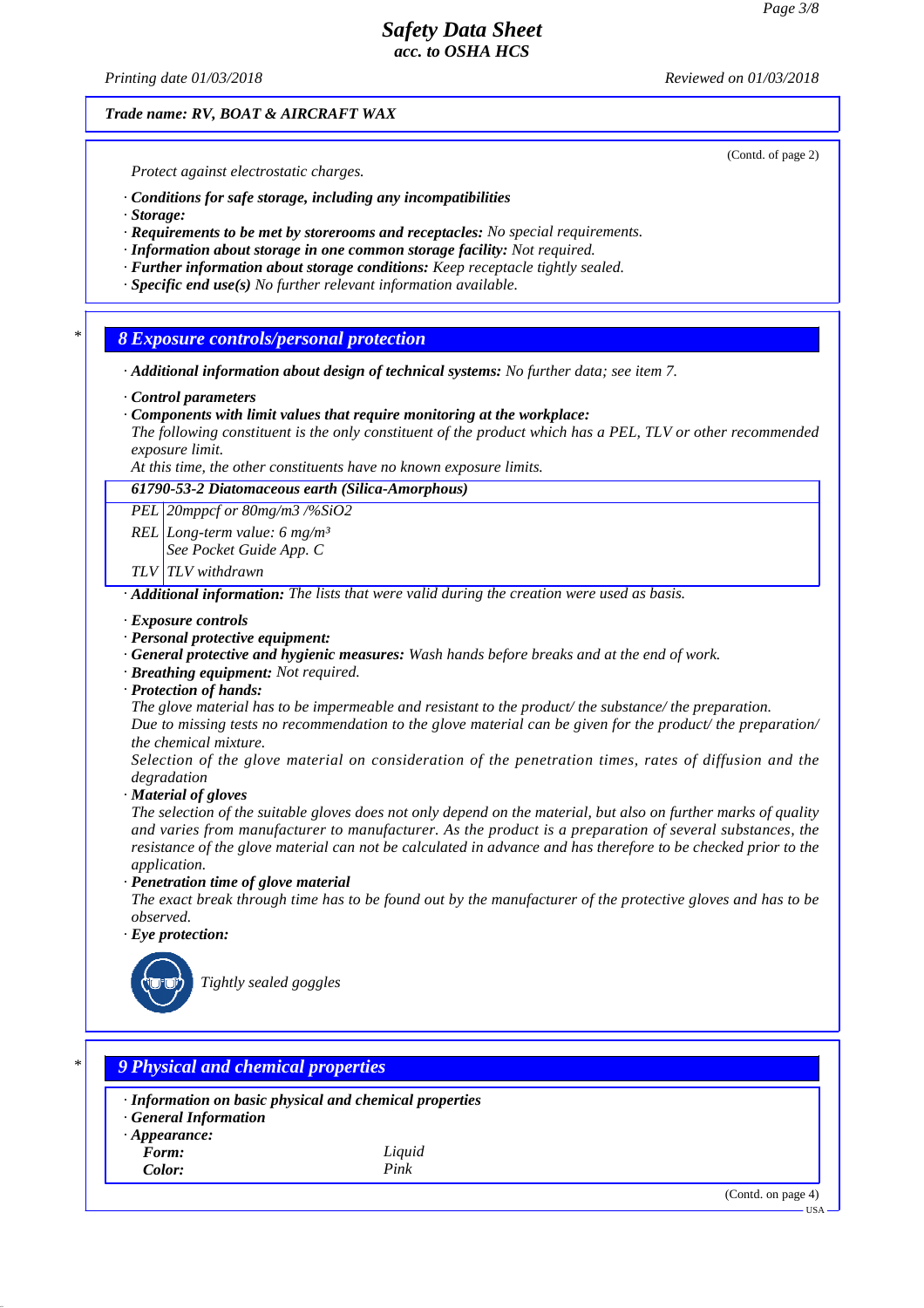*Printing date 01/03/2018 Reviewed on 01/03/2018*

*Trade name: RV, BOAT & AIRCRAFT WAX*

*Protect against electrostatic charges.*

- *· Conditions for safe storage, including any incompatibilities*
- *· Storage:*
- *· Requirements to be met by storerooms and receptacles: No special requirements.*
- *· Information about storage in one common storage facility: Not required.*
- *· Further information about storage conditions: Keep receptacle tightly sealed.*
- *· Specific end use(s) No further relevant information available.*

*\* 8 Exposure controls/personal protection*

- *· Additional information about design of technical systems: No further data; see item 7.*
- *· Control parameters*
- *· Components with limit values that require monitoring at the workplace:*

*The following constituent is the only constituent of the product which has a PEL, TLV or other recommended exposure limit.*

*At this time, the other constituents have no known exposure limits.*

### *61790-53-2 Diatomaceous earth (Silica-Amorphous)*

*PEL 20mppcf or 80mg/m3 /%SiO2*

*REL Long-term value: 6 mg/m³ See Pocket Guide App. C*

*TLV TLV withdrawn*

*· Additional information: The lists that were valid during the creation were used as basis.*

- *· Exposure controls*
- *· Personal protective equipment:*
- *· General protective and hygienic measures: Wash hands before breaks and at the end of work.*
- *· Breathing equipment: Not required.*
- *· Protection of hands:*

*The glove material has to be impermeable and resistant to the product/ the substance/ the preparation.*

*Due to missing tests no recommendation to the glove material can be given for the product/ the preparation/ the chemical mixture.*

*Selection of the glove material on consideration of the penetration times, rates of diffusion and the degradation*

*· Material of gloves*

*The selection of the suitable gloves does not only depend on the material, but also on further marks of quality and varies from manufacturer to manufacturer. As the product is a preparation of several substances, the resistance of the glove material can not be calculated in advance and has therefore to be checked prior to the application.*

*· Penetration time of glove material*

*The exact break through time has to be found out by the manufacturer of the protective gloves and has to be observed.*

*· Eye protection:*



*Tightly sealed goggles*

## *\* 9 Physical and chemical properties*

*· Information on basic physical and chemical properties*

*· General Information*

*· Appearance:*

*Form: Liquid Color: Pink*

(Contd. on page 4)

(Contd. of page 2)

USA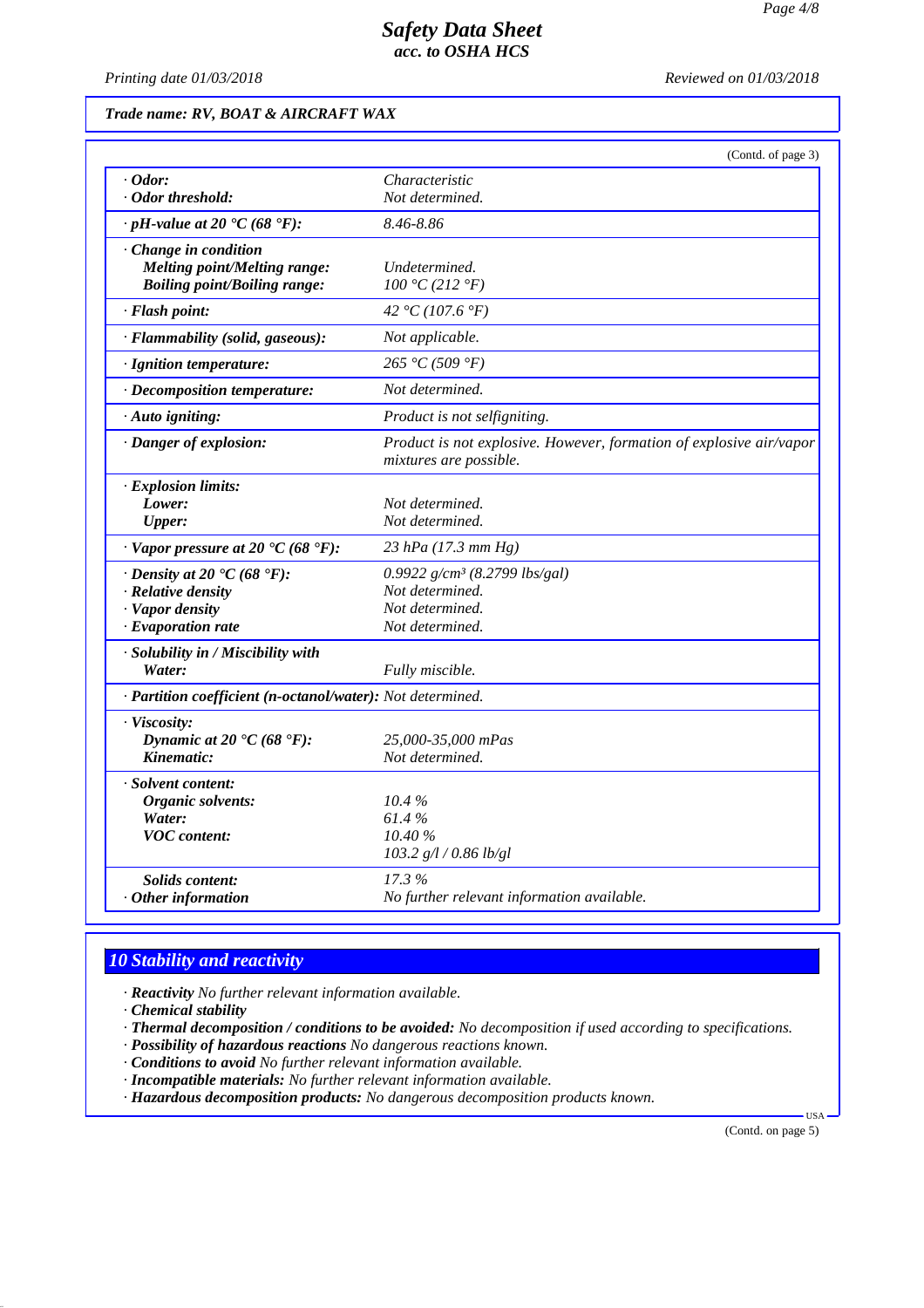*Printing date 01/03/2018 Reviewed on 01/03/2018*

### *Trade name: RV, BOAT & AIRCRAFT WAX*

|                                                              | (Contd. of page 3)                                                                            |
|--------------------------------------------------------------|-----------------------------------------------------------------------------------------------|
| $\cdot$ Odor:                                                | Characteristic                                                                                |
| · Odor threshold:                                            | Not determined.                                                                               |
| $\cdot$ pH-value at 20 $\textdegree$ C (68 $\textdegree$ F): | 8.46-8.86                                                                                     |
| Change in condition                                          |                                                                                               |
| Melting point/Melting range:                                 | Undetermined.                                                                                 |
| <b>Boiling point/Boiling range:</b>                          | 100 °C (212 °F)                                                                               |
| · Flash point:                                               | 42 °C (107.6 °F)                                                                              |
| · Flammability (solid, gaseous):                             | Not applicable.                                                                               |
| · Ignition temperature:                                      | 265 °C (509 °F)                                                                               |
| · Decomposition temperature:                                 | Not determined.                                                                               |
| · Auto igniting:                                             | Product is not selfigniting.                                                                  |
| · Danger of explosion:                                       | Product is not explosive. However, formation of explosive air/vapor<br>mixtures are possible. |
| · Explosion limits:                                          |                                                                                               |
| Lower:                                                       | Not determined.                                                                               |
| <b>Upper:</b>                                                | Not determined.                                                                               |
| $\cdot$ Vapor pressure at 20 °C (68 °F):                     | 23 hPa $(17.3 \, \text{mm Hg})$                                                               |
| $\cdot$ Density at 20 $\cdot$ C (68 $\cdot$ F):              | 0.9922 $g/cm^3$ (8.2799 lbs/gal)                                                              |
| · Relative density                                           | Not determined.                                                                               |
| · Vapor density                                              | Not determined.                                                                               |
| $\cdot$ Evaporation rate                                     | Not determined.                                                                               |
| · Solubility in / Miscibility with                           |                                                                                               |
| Water:                                                       | Fully miscible.                                                                               |
| · Partition coefficient (n-octanol/water): Not determined.   |                                                                                               |
| · Viscosity:                                                 |                                                                                               |
| Dynamic at 20 $\textdegree$ C (68 $\textdegree$ F):          | 25,000-35,000 mPas                                                                            |
| Kinematic:                                                   | Not determined.                                                                               |
| · Solvent content:                                           |                                                                                               |
| <b>Organic solvents:</b>                                     | 10.4%                                                                                         |
| Water:                                                       | 61.4%                                                                                         |
| <b>VOC</b> content:                                          | 10.40%                                                                                        |
|                                                              | $103.2$ g/l / 0.86 lb/gl                                                                      |
| <b>Solids content:</b>                                       | 17.3%                                                                                         |
| $·$ Other information                                        | No further relevant information available.                                                    |

# *10 Stability and reactivity*

*· Reactivity No further relevant information available.*

*· Chemical stability*

*· Thermal decomposition / conditions to be avoided: No decomposition if used according to specifications.*

*· Possibility of hazardous reactions No dangerous reactions known.*

*· Conditions to avoid No further relevant information available.*

*· Incompatible materials: No further relevant information available.*

*· Hazardous decomposition products: No dangerous decomposition products known.*

(Contd. on page 5)

US<sub>i</sub>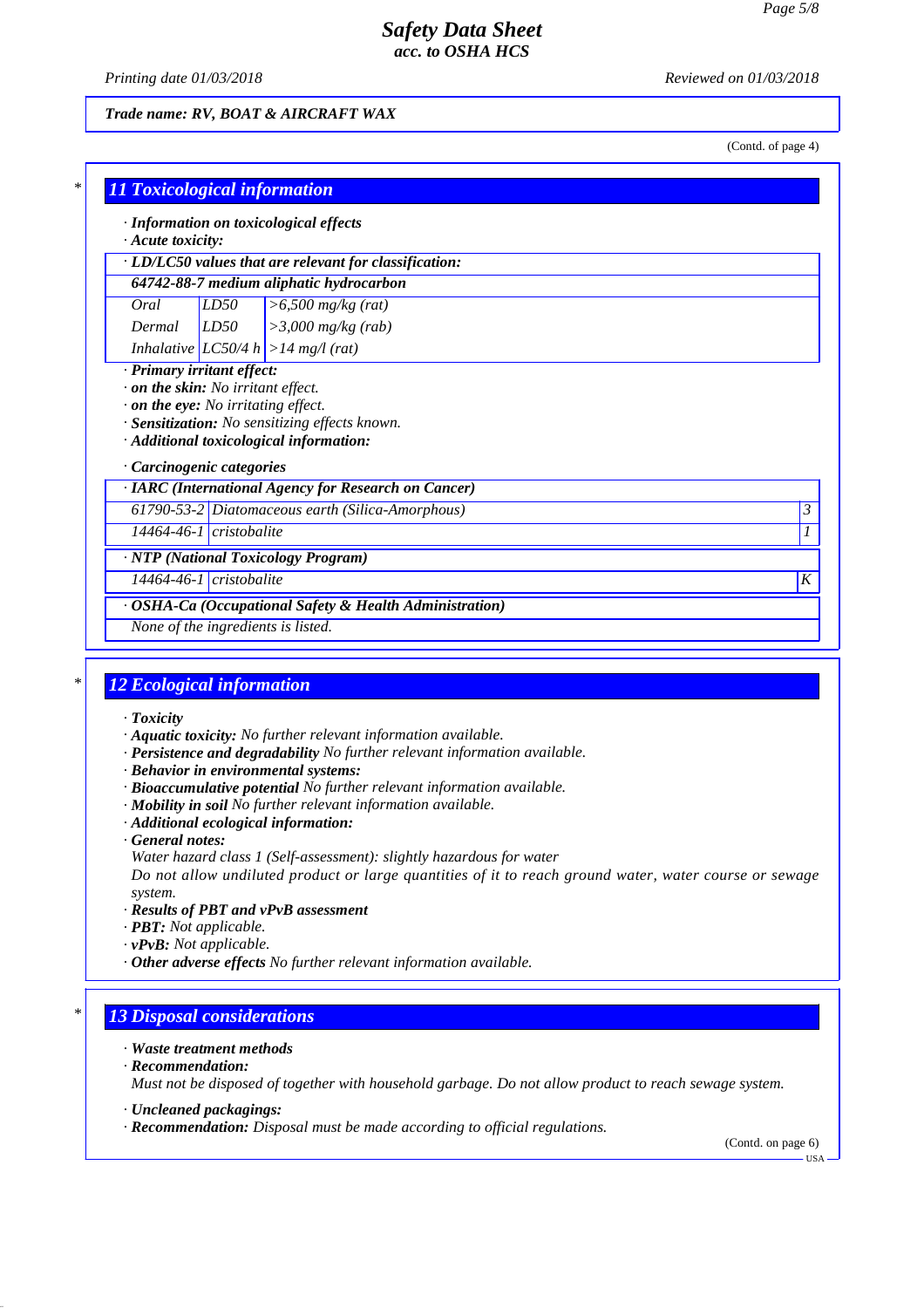*Printing date 01/03/2018 Reviewed on 01/03/2018*

### *Trade name: RV, BOAT & AIRCRAFT WAX*

(Contd. of page 4)

|                               |      | · LD/LC50 values that are relevant for classification:                                      |  |
|-------------------------------|------|---------------------------------------------------------------------------------------------|--|
|                               |      | 64742-88-7 medium aliphatic hydrocarbon                                                     |  |
| Oral                          | LD50 | $> 6,500$ mg/kg (rat)                                                                       |  |
| Dermal                        | LD50 | $>3,000$ mg/kg (rab)                                                                        |  |
|                               |      | Inhalative $ LC50/4 h  > 14 mg/l$ (rat)                                                     |  |
|                               |      | $\cdot$ on the eye: No irritating effect.<br>· Sensitization: No sensitizing effects known. |  |
| Carcinogenic categories       |      | · Additional toxicological information:                                                     |  |
|                               |      | · IARC (International Agency for Research on Cancer)                                        |  |
|                               |      | 61790-53-2 Diatomaceous earth (Silica-Amorphous)                                            |  |
| $14464 - 46 - 1$ cristobalite |      |                                                                                             |  |
|                               |      | · NTP (National Toxicology Program)                                                         |  |

## *\* 12 Ecological information*

- *· Toxicity*
- *· Aquatic toxicity: No further relevant information available.*
- *· Persistence and degradability No further relevant information available.*
- *· Behavior in environmental systems:*
- *· Bioaccumulative potential No further relevant information available.*
- *· Mobility in soil No further relevant information available.*
- *· Additional ecological information:*
- *· General notes:*
- *Water hazard class 1 (Self-assessment): slightly hazardous for water*

*Do not allow undiluted product or large quantities of it to reach ground water, water course or sewage system.*

- *· Results of PBT and vPvB assessment*
- *· PBT: Not applicable.*
- *· vPvB: Not applicable.*
- *· Other adverse effects No further relevant information available.*

### *\* 13 Disposal considerations*

- *· Waste treatment methods*
- *· Recommendation: Must not be disposed of together with household garbage. Do not allow product to reach sewage system.*
- *· Uncleaned packagings:*
- *· Recommendation: Disposal must be made according to official regulations.*

(Contd. on page 6)

 $-1$ ISA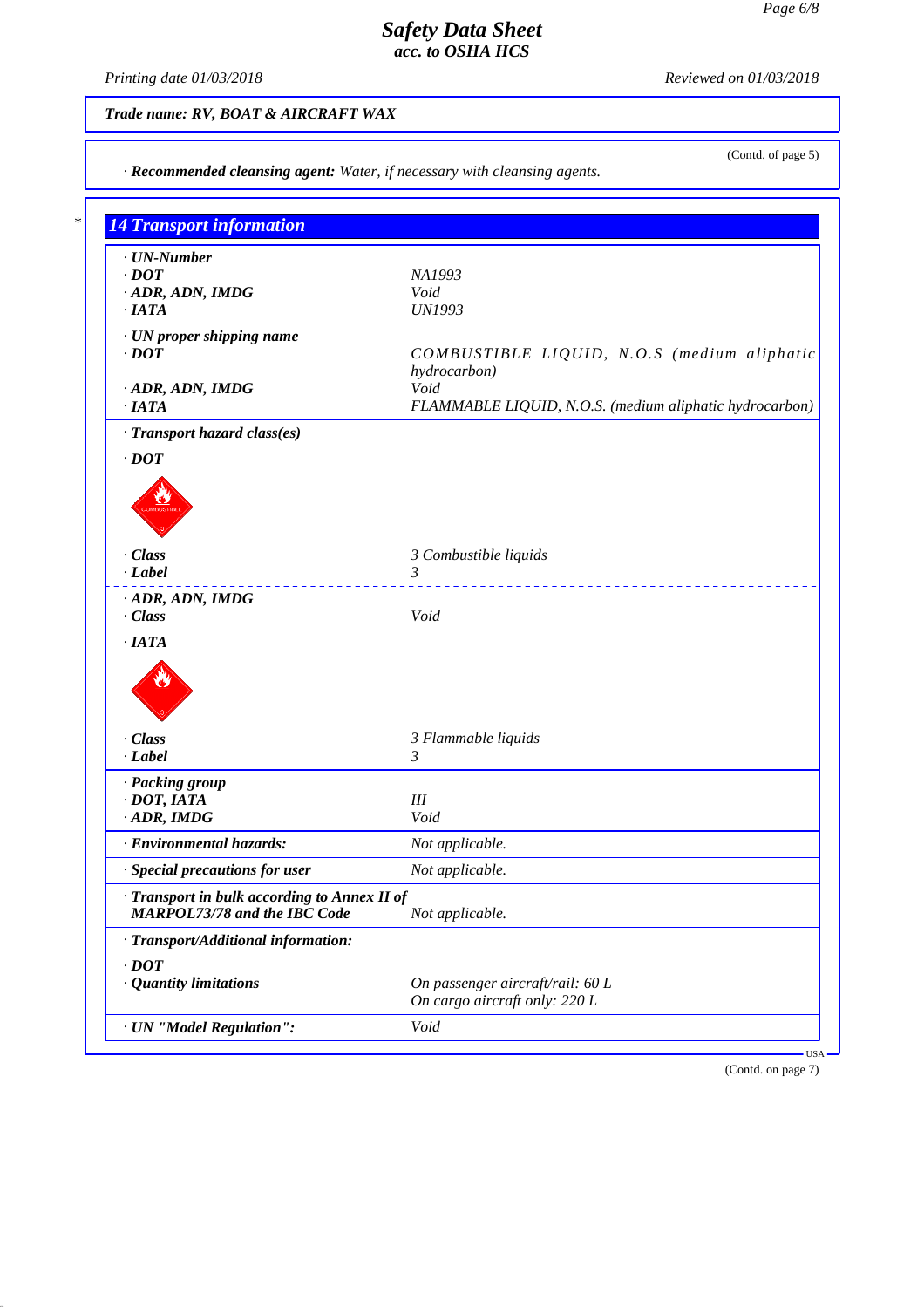*Printing date 01/03/2018 Reviewed on 01/03/2018*

## *Trade name: RV, BOAT & AIRCRAFT WAX*

| <b>14 Transport information</b>              |                                                         |
|----------------------------------------------|---------------------------------------------------------|
| · UN-Number                                  |                                                         |
| $\cdot$ DOT                                  | NA1993                                                  |
| · ADR, ADN, IMDG                             | Void                                                    |
| $\cdot$ IATA                                 | <b>UN1993</b>                                           |
| · UN proper shipping name                    |                                                         |
| $\cdot$ <i>DOT</i>                           | COMBUSTIBLE LIQUID, N.O.S (medium aliphatic             |
|                                              | hydrocarbon)<br>Void                                    |
| · ADR, ADN, IMDG<br>$\cdot$ IATA             | FLAMMABLE LIQUID, N.O.S. (medium aliphatic hydrocarbon) |
| · Transport hazard class(es)                 |                                                         |
| $\cdot$ DOT                                  |                                                         |
|                                              |                                                         |
|                                              |                                                         |
|                                              |                                                         |
|                                              |                                                         |
| · Class                                      | 3 Combustible liquids                                   |
| $-Label$                                     | $\mathfrak{Z}$<br>________________________              |
| · ADR, ADN, IMDG                             |                                                         |
| $\cdot$ Class                                | Void                                                    |
| $\cdot$ IATA                                 |                                                         |
|                                              |                                                         |
|                                              |                                                         |
|                                              |                                                         |
| · Class                                      | 3 Flammable liquids                                     |
| $\cdot$ Label                                | 3                                                       |
| · Packing group                              |                                                         |
| $\cdot$ DOT, IATA                            | III                                                     |
| $\cdot$ ADR, IMDG                            | Void                                                    |
| <b>Environmental hazards:</b>                | Not applicable.                                         |
| · Special precautions for user               | Not applicable.                                         |
| · Transport in bulk according to Annex II of |                                                         |
| <b>MARPOL73/78 and the IBC Code</b>          | Not applicable.                                         |
| · Transport/Additional information:          |                                                         |
| $\cdot$ DOT                                  |                                                         |
| · Quantity limitations                       | On passenger aircraft/rail: 60 L                        |
|                                              | On cargo aircraft only: 220 L                           |
| · UN "Model Regulation":                     | Void                                                    |

(Contd. on page 7)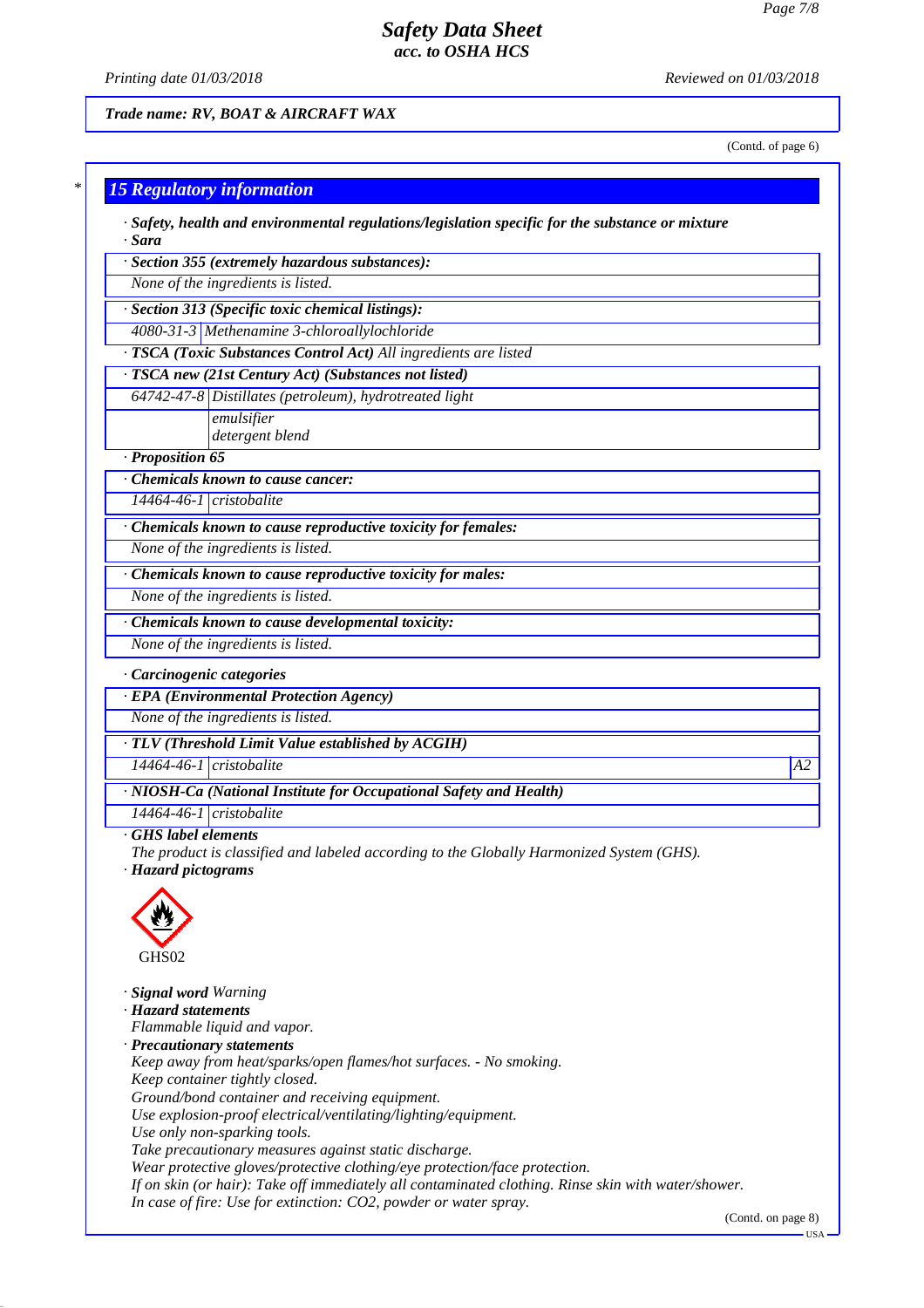*Printing date 01/03/2018 Reviewed on 01/03/2018*

### *Trade name: RV, BOAT & AIRCRAFT WAX*

(Contd. of page 6)

# *\* 15 Regulatory information*

*· Safety, health and environmental regulations/legislation specific for the substance or mixture · Sara*

*· Section 355 (extremely hazardous substances):*

*None of the ingredients is listed.*

*· Section 313 (Specific toxic chemical listings):*

*4080-31-3 Methenamine 3-chloroallylochloride*

*· TSCA (Toxic Substances Control Act) All ingredients are listed*

*· TSCA new (21st Century Act) (Substances not listed)*

*64742-47-8 Distillates (petroleum), hydrotreated light emulsifier*

*detergent blend*

#### *· Proposition 65*

*· Chemicals known to cause cancer:*

*14464-46-1 cristobalite*

*· Chemicals known to cause reproductive toxicity for females:*

*None of the ingredients is listed.*

*· Chemicals known to cause reproductive toxicity for males:*

*None of the ingredients is listed.*

*· Chemicals known to cause developmental toxicity:*

*None of the ingredients is listed.*

### *· Carcinogenic categories*

*· EPA (Environmental Protection Agency)*

*None of the ingredients is listed.*

*· TLV (Threshold Limit Value established by ACGIH)*

*14464-46-1 cristobalite A2*

*14464-46-1 cristobalite*

*· NIOSH-Ca (National Institute for Occupational Safety and Health)*

*· GHS label elements*

*The product is classified and labeled according to the Globally Harmonized System (GHS). · Hazard pictograms*



*· Signal word Warning · Hazard statements Flammable liquid and vapor. · Precautionary statements Keep away from heat/sparks/open flames/hot surfaces. - No smoking. Keep container tightly closed. Ground/bond container and receiving equipment. Use explosion-proof electrical/ventilating/lighting/equipment. Use only non-sparking tools. Take precautionary measures against static discharge. Wear protective gloves/protective clothing/eye protection/face protection. If on skin (or hair): Take off immediately all contaminated clothing. Rinse skin with water/shower. In case of fire: Use for extinction: CO2, powder or water spray.*

(Contd. on page 8)